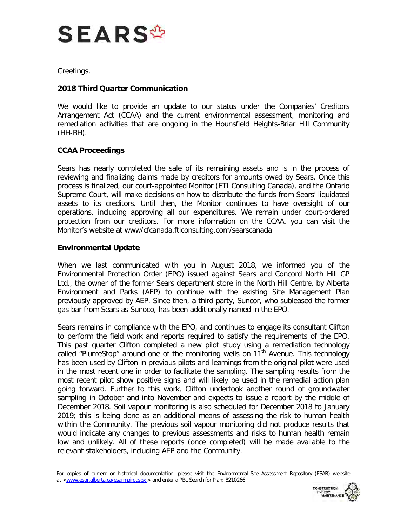

Greetings,

## **2018 Third Quarter Communication**

We would like to provide an update to our status under the Companies' Creditors Arrangement Act (CCAA) and the current environmental assessment, monitoring and remediation activities that are ongoing in the Hounsfield Heights-Briar Hill Community (HH-BH).

## **CCAA Proceedings**

Sears has nearly completed the sale of its remaining assets and is in the process of reviewing and finalizing claims made by creditors for amounts owed by Sears. Once this process is finalized, our court-appointed Monitor (FTI Consulting Canada), and the Ontario Supreme Court, will make decisions on how to distribute the funds from Sears' liquidated assets to its creditors. Until then, the Monitor continues to have oversight of our operations, including approving all our expenditures. We remain under court-ordered protection from our creditors. For more information on the CCAA, you can visit the Monitor's website at www/cfcanada.fticonsulting.com/searscanada

## **Environmental Update**

When we last communicated with you in August 2018, we informed you of the Environmental Protection Order (EPO) issued against Sears and Concord North Hill GP Ltd., the owner of the former Sears department store in the North Hill Centre, by Alberta Environment and Parks (AEP) to continue with the existing Site Management Plan previously approved by AEP. Since then, a third party, Suncor, who subleased the former gas bar from Sears as Sunoco, has been additionally named in the EPO.

Sears remains in compliance with the EPO, and continues to engage its consultant Clifton to perform the field work and reports required to satisfy the requirements of the EPO. This past quarter Clifton completed a new pilot study using a remediation technology called "PlumeStop" around one of the monitoring wells on  $11<sup>th</sup>$  Avenue. This technology has been used by Clifton in previous pilots and learnings from the original pilot were used in the most recent one in order to facilitate the sampling. The sampling results from the most recent pilot show positive signs and will likely be used in the remedial action plan going forward. Further to this work, Clifton undertook another round of groundwater sampling in October and into November and expects to issue a report by the middle of December 2018. Soil vapour monitoring is also scheduled for December 2018 to January 2019; this is being done as an additional means of assessing the risk to human health within the Community. The previous soil vapour monitoring did not produce results that would indicate any changes to previous assessments and risks to human health remain low and unlikely. All of these reports (once completed) will be made available to the relevant stakeholders, including AEP and the Community.

For copies of current or historical documentation, please visit the Environmental Site Assessment Repository (ESAR) website at [<www.esar.alberta.ca/esarmain.aspx](http://www.esar.alberta.ca/esarmain.aspx) > and enter a PBL Search for Plan: 8210266